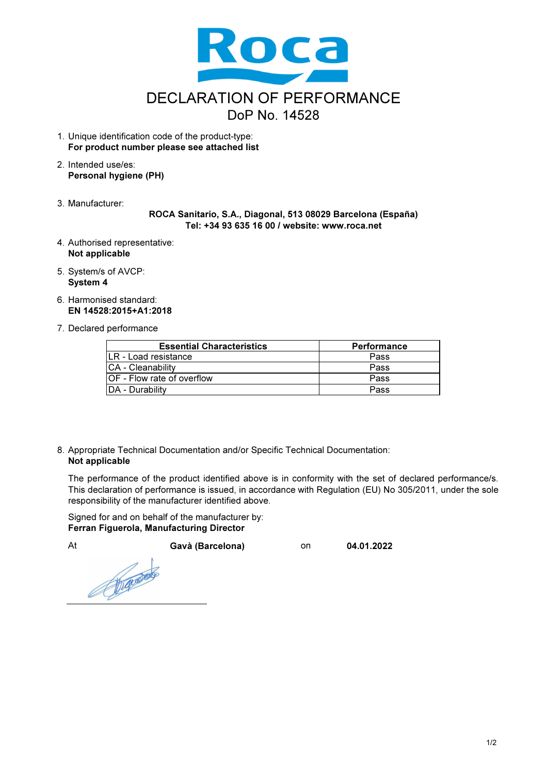

- 1. Unique identification code of the product-type: For product number please see attached list
- 2. Intended use/es: Personal hygiene (PH)
- 3. Manufacturer:

## ROCA Sanitario, S.A., Diagonal, 513 08029 Barcelona (España) Tel: +34 93 635 16 00 / website: www.roca.net

- 4. Authorised representative: Not applicable
- 5. System/s of AVCP: System 4
- 6. Harmonised standard: EN 14528:2015+A1:2018
- 7. Declared performance

| <b>Essential Characteristics</b> | <b>Performance</b> |
|----------------------------------|--------------------|
| LR - Load resistance             | Pass               |
| <b>CA</b> - Cleanability         | Pass               |
| IOF - Flow rate of overflow      | Pass               |
| DA - Durability                  | Pass               |

8. Appropriate Technical Documentation and/or Specific Technical Documentation: Not applicable

The performance of the product identified above is in conformity with the set of declared performance/s. This declaration of performance is issued, in accordance with Regulation (EU) No 305/2011, under the sole responsibility of the manufacturer identified above.

Signed for and on behalf of the manufacturer by: Ferran Figuerola, Manufacturing Director

At Gavà (Barcelona) on 04.01.2022 Reprocess